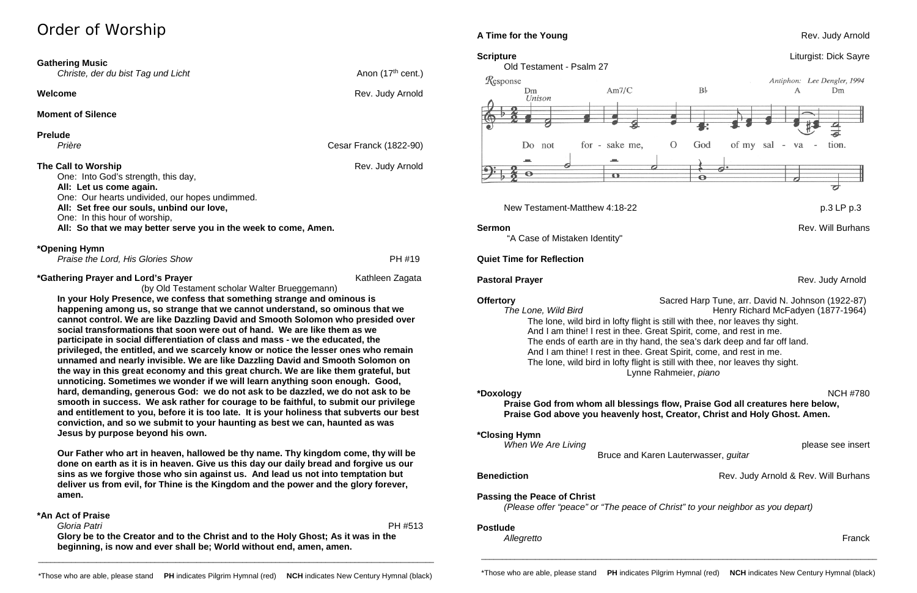## Order of Worship

| <b>Gathering Music</b><br>Christe, der du bist Tag und Licht                                                                                                                                                                                                                             | Anon (17 <sup>th</sup> cent.) |
|------------------------------------------------------------------------------------------------------------------------------------------------------------------------------------------------------------------------------------------------------------------------------------------|-------------------------------|
| Welcome                                                                                                                                                                                                                                                                                  | Rev. Judy Arnold              |
| <b>Moment of Silence</b>                                                                                                                                                                                                                                                                 |                               |
| <b>Prelude</b><br>Prière                                                                                                                                                                                                                                                                 | <b>Cesar Franck (1822-90)</b> |
| The Call to Worship<br>One: Into God's strength, this day,<br>All: Let us come again.<br>One: Our hearts undivided, our hopes undimmed.<br>All: Set free our souls, unbind our love,<br>One: In this hour of worship,<br>All: So that we may better serve you in the week to come, Amen. | Rev. Judy Arnold              |
| *Opening Hymn<br>Praise the Lord, His Glories Show                                                                                                                                                                                                                                       | PH #19                        |
| <i>*</i> Gathering Prayer and Lord's Prayer                                                                                                                                                                                                                                              | Kathleen Zagata               |

(by Old Testament scholar Walter Brueggemann) **In your Holy Presence, we confess that something strange and ominous is happening among us, so strange that we cannot understand, so ominous that we cannot control. We are like Dazzling David and Smooth Solomon who presided over social transformations that soon were out of hand. We are like them as we participate in social differentiation of class and mass - we the educated, the privileged, the entitled, and we scarcely know or notice the lesser ones who remain unnamed and nearly invisible. We are like Dazzling David and Smooth Solomon on the way in this great economy and this great church. We are like them grateful, but unnoticing. Sometimes we wonder if we will learn anything soon enough. Good, hard, demanding, generous God: we do not ask to be dazzled, we do not ask to be smooth in success. We ask rather for courage to be faithful, to submit our privilege and entitlement to you, before it is too late. It is your holiness that subverts our best conviction, and so we submit to your haunting as best we can, haunted as was Jesus by purpose beyond his own.**

**Our Father who art in heaven, hallowed be thy name. Thy kingdom come, thy will be done on earth as it is in heaven. Give us this day our daily bread and forgive us our sins as we forgive those who sin against us. And lead us not into temptation but deliver us from evil, for Thine is the Kingdom and the power and the glory forever, amen.**

#### **\*An Act of Praise**

 *Gloria Patri* PH #513 **Glory be to the Creator and to the Christ and to the Holy Ghost; As it was in the beginning, is now and ever shall be; World without end, amen, amen.**



### New Testament-Matthew 4:18-22 p.3 LP p.3

"A Case of Mistaken Identity"

#### **Quiet Time for Reflection**

**Offertory** Sacred Harp Tune, arr. David N. Johnson (1922-87) *The Lone, Wild Bird* Henry Richard McFadyen (1877-1964) The lone, wild bird in lofty flight is still with thee, nor leaves thy sight. And I am thine! I rest in thee. Great Spirit, come, and rest in me. The ends of earth are in thy hand, the sea's dark deep and far off land. And I am thine! I rest in thee. Great Spirit, come, and rest in me. The lone, wild bird in lofty flight is still with thee, nor leaves thy sight. Lynne Rahmeier, *piano*

**\*Doxology** NCH #780 **Praise God from whom all blessings flow, Praise God all creatures here below, Praise God above you heavenly host, Creator, Christ and Holy Ghost. Amen.**

**\*Closing Hymn** 

*When We Are Living* please see insert

Bruce and Karen Lauterwasser, *guitar*

#### **Passing the Peace of Christ**

*(Please offer "peace" or "The peace of Christ" to your neighbor as you depart)*

#### **Postlude**

*Allegretto* Franck

\_\_\_\_\_\_\_\_\_\_\_\_\_\_\_\_\_\_\_\_\_\_\_\_\_\_\_\_\_\_\_\_\_\_\_\_\_\_\_\_\_\_\_\_\_\_\_\_\_\_\_\_\_\_\_\_\_\_\_\_\_\_\_\_\_\_\_\_\_\_\_\_\_\_\_\_\_\_\_\_\_\_\_\_\_\_\_\_\_\_\_\_\_\_\_

### **A Time for the Young Rev. Judy Arnold Rev. Judy Arnold**

**Sermon** Rev. Will Burhans

**Pastoral Prayer** Rev. Judy Arnold **Prayer** Rev. Judy Arnold Rev. Judy Arnold

**Benediction Benediction Rev. Judy Arnold & Rev. Will Burhans** 

\_\_\_\_\_\_\_\_\_\_\_\_\_\_\_\_\_\_\_\_\_\_\_\_\_\_\_\_\_\_\_\_\_\_\_\_\_\_\_\_\_\_\_\_\_\_\_\_\_\_\_\_\_\_\_\_\_\_\_\_\_\_\_\_\_\_\_\_\_\_\_\_\_\_\_\_\_\_\_\_\_\_\_\_\_\_\_\_\_\_\_\_\_\_\_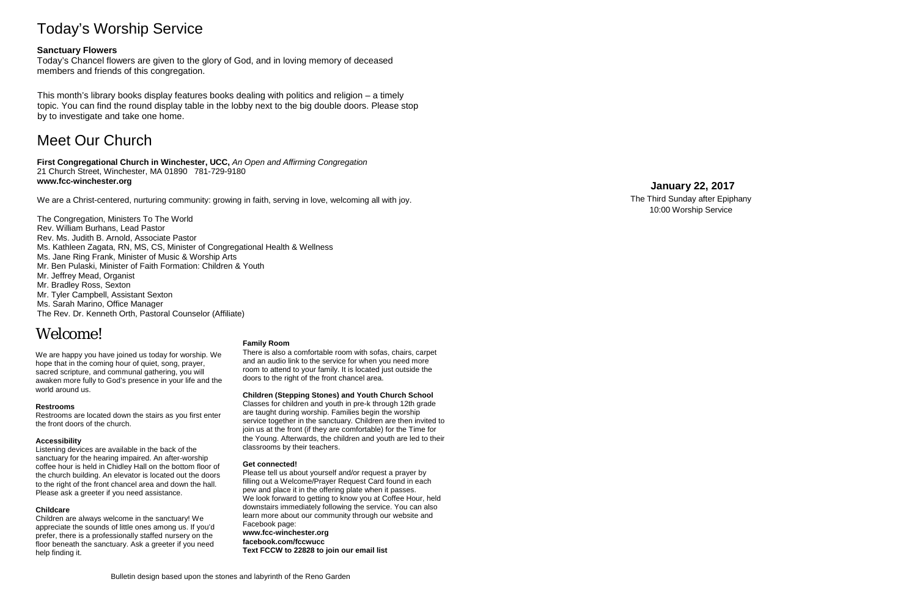## Today's Worship Service

### **Sanctuary Flowers**

Today's Chancel flowers are given to the glory of God, and in loving memory of deceased members and friends of this congregation.

This month's library books display features books dealing with politics and religion – a timely topic. You can find the round display table in the lobby next to the big double doors. Please stop by to investigate and take one home.

## Meet Our Church

**First Congregational Church in Winchester, UCC,** *An Open and Affirming Congregation* 21 Church Street, Winchester, MA 01890 781 -729 -9180 **www.fcc -winchester.org**

We are a Christ -centered, nurturing community: growing in faith, serving in love, welcoming all with joy.

The Congregation, Ministers To The World Rev. William Burhans, Lead Pastor Rev. Ms. Judith B. Arnold, Associate Pastor Ms. Kathleen Zagata, RN, MS, CS, Minister of Congregational Health & Wellness Ms. Jane Ring Frank, Minister of Music & Worship Arts Mr. Ben Pulaski, Minister of Faith Formation: Children & Youth Mr. Jeffrey Mead, Organist Mr. Bradley Ross, Sexton Mr. Tyler Campbell, Assistant Sexton Ms. Sarah Marino, Office Manager The Rev. Dr. Kenneth Orth, Pastoral Counselor (Affiliate)

## Welcome!

We are happy you have joined us today for worship. We hope that in the coming hour of quiet, song, prayer, sacred scripture, and communal gathering, you will awaken more fully to God's presence in your life and the world around us.

#### **Restrooms**

Restrooms are located down the stairs as you first enter the front doors of the church.

#### **Accessibility**

Listening devices are available in the back of the sanctuary for the hearing impaired. An after -worship coffee hour is held in Chidley Hall on the bottom floor of the church building. An elevator is located out the doors to the right of the front chancel area and down the hall. Please ask a greeter if you need assistance.

#### **Childcare**

Children are always welcome in the sanctuary! We appreciate the sounds of little ones among us. If you'd prefer, there is a professionally staffed nursery on the floor beneath the sanctuary. Ask a greeter if you need help finding it.

#### **Family Room**

There is also a comfortable room with sofas, chairs, carpet and an audio link to the service for when you need more room to attend to your family. It is located just outside the doors to the right of the front chancel area.

#### **Children (Stepping Stones) and Youth Church School**

Classes for children and youth in pre -k through 12th grade are taught during worship. Families begin the worship service together in the sanctuary. Children are then invited to join us at the front (if they are comfortable) for the Time for the Young. Afterwards, the children and youth are led to their classrooms by their teachers.

#### **Get connected!**

Please tell us about yourself and/or request a prayer by filling out a Welcome/Prayer Request Card found in each pew and place it in the offering plate when it passes. We look forward to getting to know you at Coffee Hour, held downstairs immediately following the service. You can also learn more about our community through our website and Facebook page: **www.fcc -winchester.org facebook.com/fccwucc Text FCCW to 22828 to join our email list**

## **January 22 , 2017**

The Third Sunday after Epiphany 10:00 Worship Service